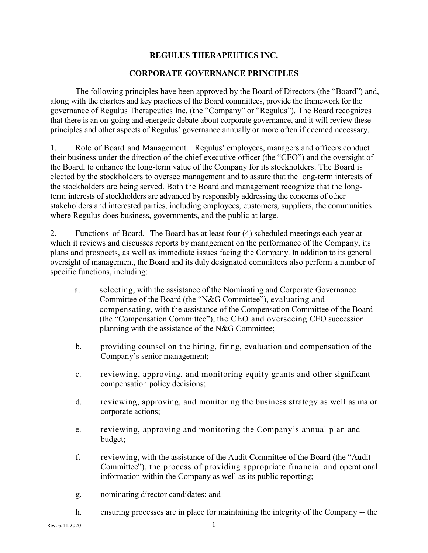## **REGULUS THERAPEUTICS INC.**

## **CORPORATE GOVERNANCE PRINCIPLES**

The following principles have been approved by the Board of Directors (the "Board") and, along with the charters and key practices of the Board committees, provide the framework for the governance of Regulus Therapeutics Inc. (the "Company" or "Regulus"). The Board recognizes that there is an on-going and energetic debate about corporate governance, and it will review these principles and other aspects of Regulus' governance annually or more often if deemed necessary.

1. Role of Board and Management. Regulus' employees, managers and officers conduct their business under the direction of the chief executive officer (the "CEO") and the oversight of the Board, to enhance the long-term value of the Company for its stockholders. The Board is elected by the stockholders to oversee management and to assure that the long-term interests of the stockholders are being served. Both the Board and management recognize that the longterm interests of stockholders are advanced by responsibly addressing the concerns of other stakeholders and interested parties, including employees, customers, suppliers, the communities where Regulus does business, governments, and the public at large.

2. Functions of Board. The Board has at least four (4) scheduled meetings each year at which it reviews and discusses reports by management on the performance of the Company, its plans and prospects, as well as immediate issues facing the Company. In addition to its general oversight of management, the Board and its duly designated committees also perform a number of specific functions, including:

- a. selecting, with the assistance of the Nominating and Corporate Governance Committee of the Board (the "N&G Committee"), evaluating and compensating, with the assistance of the Compensation Committee of the Board (the "Compensation Committee"), the CEO and overseeing CEO succession planning with the assistance of the N&G Committee;
- b. providing counsel on the hiring, firing, evaluation and compensation of the Company's senior management;
- c. reviewing, approving, and monitoring equity grants and other significant compensation policy decisions;
- d. reviewing, approving, and monitoring the business strategy as well as major corporate actions;
- e. reviewing, approving and monitoring the Company's annual plan and budget;
- f. reviewing, with the assistance of the Audit Committee of the Board (the "Audit Committee"), the process of providing appropriate financial and operational information within the Company as well as its public reporting;
- g. nominating director candidates; and
- h. ensuring processes are in place for maintaining the integrity of the Company -- the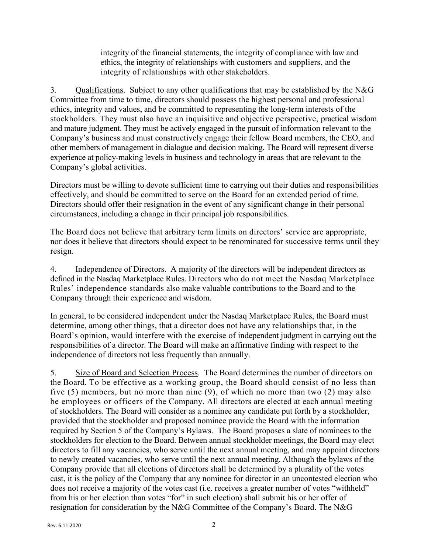integrity of the financial statements, the integrity of compliance with law and ethics, the integrity of relationships with customers and suppliers, and the integrity of relationships with other stakeholders.

3. Qualifications. Subject to any other qualifications that may be established by the N&G Committee from time to time, directors should possess the highest personal and professional ethics, integrity and values, and be committed to representing the long-term interests of the stockholders. They must also have an inquisitive and objective perspective, practical wisdom and mature judgment. They must be actively engaged in the pursuit of information relevant to the Company's business and must constructively engage their fellow Board members, the CEO, and other members of management in dialogue and decision making. The Board will represent diverse experience at policy-making levels in business and technology in areas that are relevant to the Company's global activities.

Directors must be willing to devote sufficient time to carrying out their duties and responsibilities effectively, and should be committed to serve on the Board for an extended period of time. Directors should offer their resignation in the event of any significant change in their personal circumstances, including a change in their principal job responsibilities.

The Board does not believe that arbitrary term limits on directors' service are appropriate, nor does it believe that directors should expect to be renominated for successive terms until they resign.

4. Independence of Directors. A majority of the directors will be independent directors as defined in the Nasdaq Marketplace Rules. Directors who do not meet the Nasdaq Marketplace Rules' independence standards also make valuable contributions to the Board and to the Company through their experience and wisdom.

In general, to be considered independent under the Nasdaq Marketplace Rules, the Board must determine, among other things, that a director does not have any relationships that, in the Board's opinion, would interfere with the exercise of independent judgment in carrying out the responsibilities of a director. The Board will make an affirmative finding with respect to the independence of directors not less frequently than annually.

5. Size of Board and Selection Process. The Board determines the number of directors on the Board. To be effective as a working group, the Board should consist of no less than five (5) members, but no more than nine (9), of which no more than two (2) may also be employees or officers of the Company. All directors are elected at each annual meeting of stockholders. The Board will consider as a nominee any candidate put forth by a stockholder, provided that the stockholder and proposed nominee provide the Board with the information required by Section 5 of the Company's Bylaws. The Board proposes a slate of nominees to the stockholders for election to the Board. Between annual stockholder meetings, the Board may elect directors to fill any vacancies, who serve until the next annual meeting, and may appoint directors to newly created vacancies, who serve until the next annual meeting. Although the bylaws of the Company provide that all elections of directors shall be determined by a plurality of the votes cast, it is the policy of the Company that any nominee for director in an uncontested election who does not receive a majority of the votes cast (i.e. receives a greater number of votes "withheld" from his or her election than votes "for" in such election) shall submit his or her offer of resignation for consideration by the N&G Committee of the Company's Board. The N&G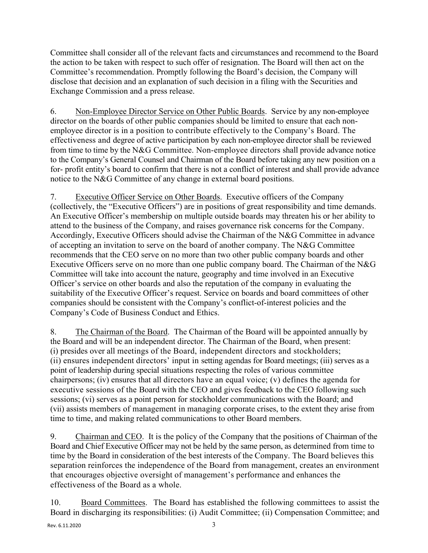Committee shall consider all of the relevant facts and circumstances and recommend to the Board the action to be taken with respect to such offer of resignation. The Board will then act on the Committee's recommendation. Promptly following the Board's decision, the Company will disclose that decision and an explanation of such decision in a filing with the Securities and Exchange Commission and a press release.

6. Non-Employee Director Service on Other Public Boards. Service by any non-employee director on the boards of other public companies should be limited to ensure that each nonemployee director is in a position to contribute effectively to the Company's Board. The effectiveness and degree of active participation by each non-employee director shall be reviewed from time to time by the N&G Committee. Non-employee directors shall provide advance notice to the Company's General Counsel and Chairman of the Board before taking any new position on a for- profit entity's board to confirm that there is not a conflict of interest and shall provide advance notice to the N&G Committee of any change in external board positions.

7. Executive Officer Service on Other Boards. Executive officers of the Company (collectively, the "Executive Officers") are in positions of great responsibility and time demands. An Executive Officer's membership on multiple outside boards may threaten his or her ability to attend to the business of the Company, and raises governance risk concerns for the Company. Accordingly, Executive Officers should advise the Chairman of the N&G Committee in advance of accepting an invitation to serve on the board of another company. The N&G Committee recommends that the CEO serve on no more than two other public company boards and other Executive Officers serve on no more than one public company board. The Chairman of the N&G Committee will take into account the nature, geography and time involved in an Executive Officer's service on other boards and also the reputation of the company in evaluating the suitability of the Executive Officer's request. Service on boards and board committees of other companies should be consistent with the Company's conflict-of-interest policies and the Company's Code of Business Conduct and Ethics.

8. The Chairman of the Board. The Chairman of the Board will be appointed annually by the Board and will be an independent director. The Chairman of the Board, when present: (i) presides over all meetings of the Board, independent directors and stockholders; (ii) ensures independent directors' input in setting agendas for Board meetings; (iii) serves as a point of leadership during special situations respecting the roles of various committee chairpersons; (iv) ensures that all directors have an equal voice; (v) defines the agenda for executive sessions of the Board with the CEO and gives feedback to the CEO following such sessions; (vi) serves as a point person for stockholder communications with the Board; and (vii) assists members of management in managing corporate crises, to the extent they arise from time to time, and making related communications to other Board members.

9. Chairman and CEO. It is the policy of the Company that the positions of Chairman of the Board and Chief Executive Officer may not be held by the same person, as determined from time to time by the Board in consideration of the best interests of the Company. The Board believes this separation reinforces the independence of the Board from management, creates an environment that encourages objective oversight of management's performance and enhances the effectiveness of the Board as a whole.

10. Board Committees. The Board has established the following committees to assist the Board in discharging its responsibilities: (i) Audit Committee; (ii) Compensation Committee; and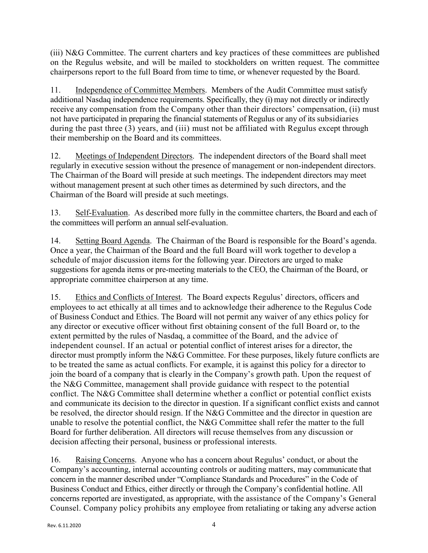(iii) N&G Committee. The current charters and key practices of these committees are published on the Regulus website, and will be mailed to stockholders on written request. The committee chairpersons report to the full Board from time to time, or whenever requested by the Board.

11. Independence of Committee Members. Members of the Audit Committee must satisfy additional Nasdaq independence requirements. Specifically, they (i) may not directly or indirectly receive any compensation from the Company other than their directors' compensation, (ii) must not have participated in preparing the financial statements of Regulus or any of its subsidiaries during the past three (3) years, and (iii) must not be affiliated with Regulus except through their membership on the Board and its committees.

12. Meetings of Independent Directors. The independent directors of the Board shall meet regularly in executive session without the presence of management or non-independent directors. The Chairman of the Board will preside at such meetings. The independent directors may meet without management present at such other times as determined by such directors, and the Chairman of the Board will preside at such meetings.

13. Self-Evaluation. As described more fully in the committee charters, the Board and each of the committees will perform an annual self-evaluation.

14. Setting Board Agenda. The Chairman of the Board is responsible for the Board's agenda. Once a year, the Chairman of the Board and the full Board will work together to develop a schedule of major discussion items for the following year. Directors are urged to make suggestions for agenda items or pre-meeting materials to the CEO, the Chairman of the Board, or appropriate committee chairperson at any time.

15. Ethics and Conflicts of Interest. The Board expects Regulus' directors, officers and employees to act ethically at all times and to acknowledge their adherence to the Regulus Code of Business Conduct and Ethics. The Board will not permit any waiver of any ethics policy for any director or executive officer without first obtaining consent of the full Board or, to the extent permitted by the rules of Nasdaq, a committee of the Board, and the advice of independent counsel. If an actual or potential conflict of interest arises for a director, the director must promptly inform the N&G Committee. For these purposes, likely future conflicts are to be treated the same as actual conflicts. For example, it is against this policy for a director to join the board of a company that is clearly in the Company's growth path. Upon the request of the N&G Committee, management shall provide guidance with respect to the potential conflict. The N&G Committee shall determine whether a conflict or potential conflict exists and communicate its decision to the director in question. If a significant conflict exists and cannot be resolved, the director should resign. If the N&G Committee and the director in question are unable to resolve the potential conflict, the N&G Committee shall refer the matter to the full Board for further deliberation. All directors will recuse themselves from any discussion or decision affecting their personal, business or professional interests.

16. Raising Concerns. Anyone who has a concern about Regulus' conduct, or about the Company's accounting, internal accounting controls or auditing matters, may communicate that concern in the manner described under "Compliance Standards and Procedures" in the Code of Business Conduct and Ethics, either directly or through the Company's confidential hotline. All concerns reported are investigated, as appropriate, with the assistance of the Company's General Counsel. Company policy prohibits any employee from retaliating or taking any adverse action